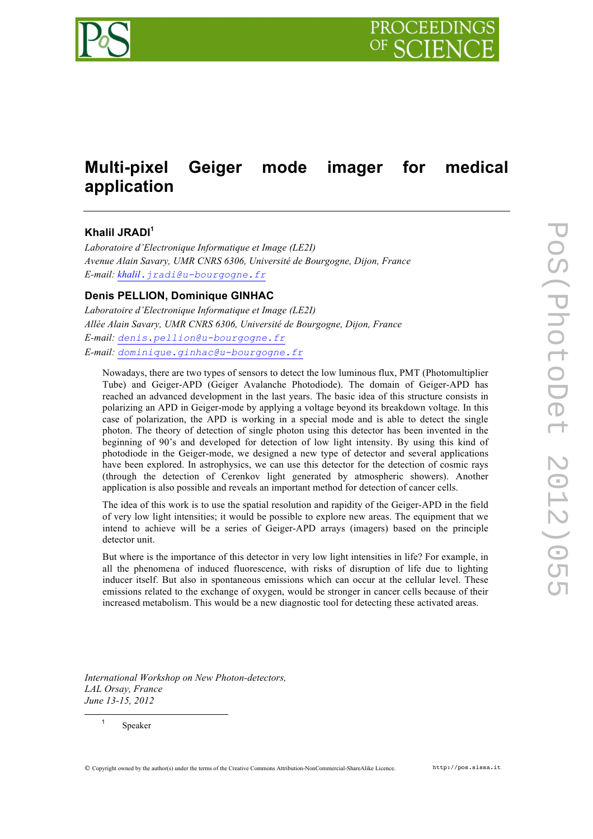

# **Multi-pixel Geiger mode imager for medical application**

## **Khalil JRADI<sup>1</sup>**

*Laboratoire d'Electronique Informatique et Image (LE2I) Avenue Alain Savary, UMR CNRS 6306, Université de Bourgogne, Dijon, France E-mail: khalil.jradi@u-bourgogne.fr*

#### **Denis PELLION, Dominique GINHAC**

*Laboratoire d'Electronique Informatique et Image (LE2I) Allée Alain Savary, UMR CNRS 6306, Université de Bourgogne, Dijon, France E-mail: denis.pellion@u-bourgogne.fr E-mail: dominique.ginhac@u-bourgogne.fr*

Nowadays, there are two types of sensors to detect the low luminous flux, PMT (Photomultiplier Tube) and Geiger-APD (Geiger Avalanche Photodiode). The domain of Geiger-APD has reached an advanced development in the last years. The basic idea of this structure consists in polarizing an APD in Geiger-mode by applying a voltage beyond its breakdown voltage. In this case of polarization, the APD is working in a special mode and is able to detect the single photon. The theory of detection of single photon using this detector has been invented in the beginning of 90's and developed for detection of low light intensity. By using this kind of photodiode in the Geiger-mode, we designed a new type of detector and several applications have been explored. In astrophysics, we can use this detector for the detection of cosmic rays (through the detection of Cerenkov light generated by atmospheric showers). Another application is also possible and reveals an important method for detection of cancer cells.

The idea of this work is to use the spatial resolution and rapidity of the Geiger-APD in the field of very low light intensities; it would be possible to explore new areas. The equipment that we intend to achieve will be a series of Geiger-APD arrays (imagers) based on the principle detector unit.

But where is the importance of this detector in very low light intensities in life? For example, in all the phenomena of induced fluorescence, with risks of disruption of life due to lighting inducer itself. But also in spontaneous emissions which can occur at the cellular level. These emissions related to the exchange of oxygen, would be stronger in cancer cells because of their increased metabolism. This would be a new diagnostic tool for detecting these activated areas.

*International Workshop on New Photon-detectors, LAL Orsay, France June 13-15, 2012*

<sup>1</sup> Speaker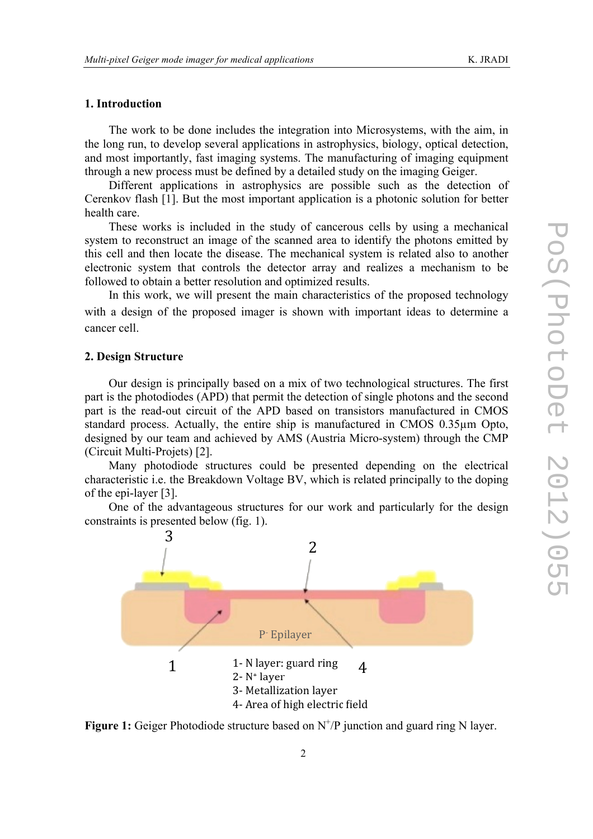### **1. Introduction**

The work to be done includes the integration into Microsystems, with the aim, in the long run, to develop several applications in astrophysics, biology, optical detection, and most importantly, fast imaging systems. The manufacturing of imaging equipment through a new process must be defined by a detailed study on the imaging Geiger.

Different applications in astrophysics are possible such as the detection of Cerenkov flash [1]. But the most important application is a photonic solution for better health care.

These works is included in the study of cancerous cells by using a mechanical system to reconstruct an image of the scanned area to identify the photons emitted by this cell and then locate the disease. The mechanical system is related also to another electronic system that controls the detector array and realizes a mechanism to be followed to obtain a better resolution and optimized results.

In this work, we will present the main characteristics of the proposed technology with a design of the proposed imager is shown with important ideas to determine a cancer cell.

#### **2. Design Structure**

Our design is principally based on a mix of two technological structures. The first part is the photodiodes (APD) that permit the detection of single photons and the second part is the read-out circuit of the APD based on transistors manufactured in CMOS standard process. Actually, the entire ship is manufactured in CMOS 0.35µm Opto, designed by our team and achieved by AMS (Austria Micro-system) through the CMP (Circuit Multi-Projets) [2].

Many photodiode structures could be presented depending on the electrical characteristic i.e. the Breakdown Voltage BV, which is related principally to the doping of the epi-layer [3].

One of the advantageous structures for our work and particularly for the design constraints is presented below (fig. 1).



Figure 1: Geiger Photodiode structure based on N<sup>+</sup>/P junction and guard ring N layer.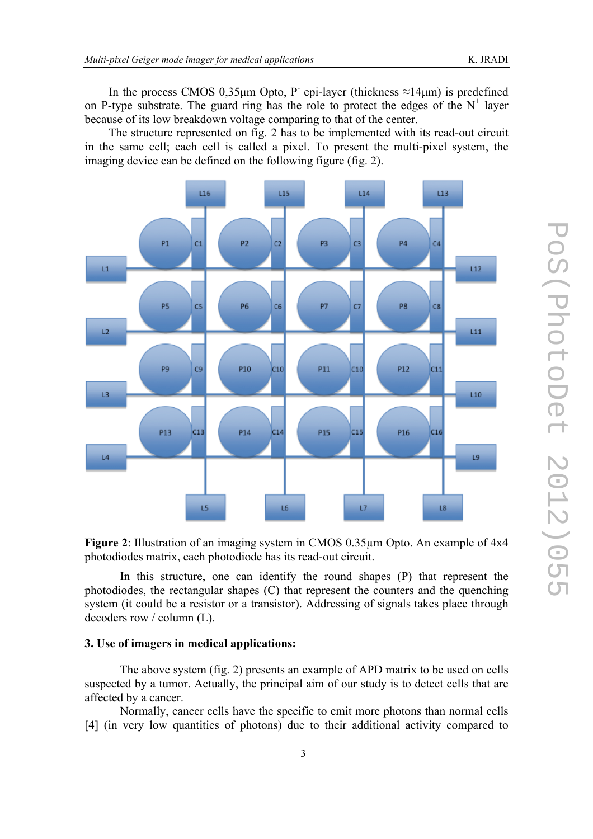In the process CMOS 0,35µm Opto, P- epi-layer (thickness  $\approx$ 14µm) is predefined on P-type substrate. The guard ring has the role to protect the edges of the  $N^+$  layer because of its low breakdown voltage comparing to that of the center.

The structure represented on fig. 2 has to be implemented with its read-out circuit in the same cell; each cell is called a pixel. To present the multi-pixel system, the imaging device can be defined on the following figure (fig. 2).





In this structure, one can identify the round shapes (P) that represent the photodiodes, the rectangular shapes (C) that represent the counters and the quenching system (it could be a resistor or a transistor). Addressing of signals takes place through decoders row / column (L).

#### **3. Use of imagers in medical applications:**

The above system (fig. 2) presents an example of APD matrix to be used on cells suspected by a tumor. Actually, the principal aim of our study is to detect cells that are affected by a cancer.

Normally, cancer cells have the specific to emit more photons than normal cells [4] (in very low quantities of photons) due to their additional activity compared to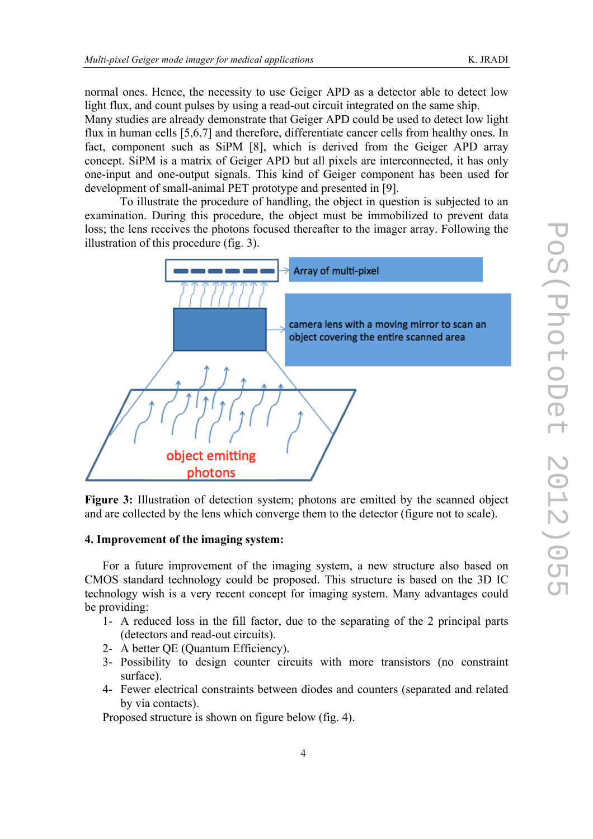normal ones. Hence, the necessity to use Geiger APD as a detector able to detect low light flux, and count pulses by using a read-out circuit integrated on the same ship.

Many studies are already demonstrate that Geiger APD could be used to detect low light flux in human cells [5,6,7] and therefore, differentiate cancer cells from healthy ones. In fact, component such as SiPM [8], which is derived from the Geiger APD array concept. SiPM is a matrix of Geiger APD but all pixels are interconnected, it has only one-input and one-output signals. This kind of Geiger component has been used for development of small-animal PET prototype and presented in [9].

To illustrate the procedure of handling, the object in question is subjected to an examination. During this procedure, the object must be immobilized to prevent data loss; the lens receives the photons focused thereafter to the imager array. Following the illustration of this procedure (fig. 3).



**Figure 3:** Illustration of detection system; photons are emitted by the scanned object and are collected by the lens which converge them to the detector (figure not to scale).

#### **4. Improvement of the imaging system:**

For a future improvement of the imaging system, a new structure also based on CMOS standard technology could be proposed. This structure is based on the 3D IC technology wish is a very recent concept for imaging system. Many advantages could be providing:

- 1- A reduced loss in the fill factor, due to the separating of the 2 principal parts (detectors and read-out circuits).
- 2- A better QE (Quantum Efficiency).
- 3- Possibility to design counter circuits with more transistors (no constraint surface).
- 4- Fewer electrical constraints between diodes and counters (separated and related by via contacts).

Proposed structure is shown on figure below (fig. 4).